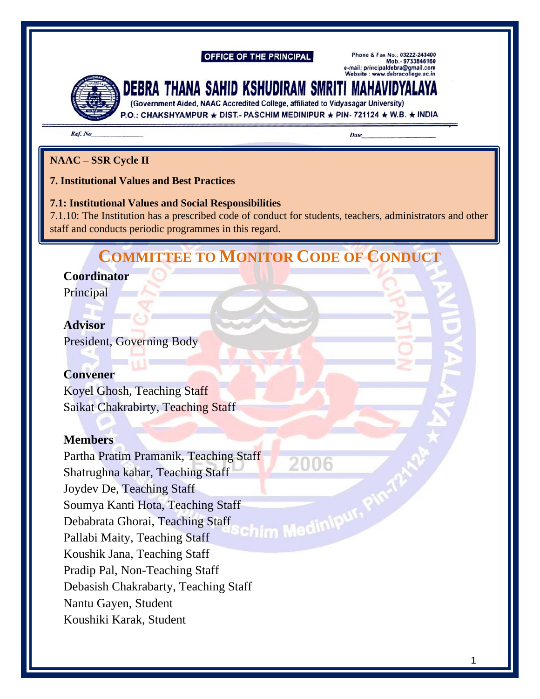#### **OFFICE OF THE PRINCIPAL**

Phone & Fax No.: 03222-243400<br>Mob.- 9733846160 e-mail: principaldebra@gmail.com Website: www.debracollege.ac.in



# Debra thana sahid kshudiram smriti mahavidyalaya

(Government Aided, NAAC Accredited College, affiliated to Vidyasagar University)

P.O.: CHAKSHYAMPUR ★ DIST.- PASCHIM MEDINIPUR ★ PIN- 721124 ★ W.B. ★ INDIA

Ref. No

**Date** 

#### **NAAC – SSR Cycle II**

#### **7. Institutional Values and Best Practices**

#### **7.1: Institutional Values and Social Responsibilities**

7.1.10: The Institution has a prescribed code of conduct for students, teachers, administrators and other staff and conducts periodic programmes in this regard.

## **COMMITTEE TO MONITOR CODE OF CONDUCT**

#### **Coordinator**

Principal

#### **Advisor**

President, Governing Body

## **Convener**

Koyel Ghosh, Teaching Staff Saikat Chakrabirty, Teaching Staff

## **Members**

Partha Pratim Pramanik, Teaching Staff 2006 Shatrughna kahar, Teaching Staff Joydev De, Teaching Staff Soumya Kanti Hota, Teaching Staff<br>Debabrata Ghorai, Teaching Staff<br>Pallabi Maity, Teaching Staff Debabrata Ghorai, Teaching Staff Pallabi Maity, Teaching Staff Koushik Jana, Teaching Staff Pradip Pal, Non-Teaching Staff Debasish Chakrabarty, Teaching Staff Nantu Gayen, Student Koushiki Karak, Student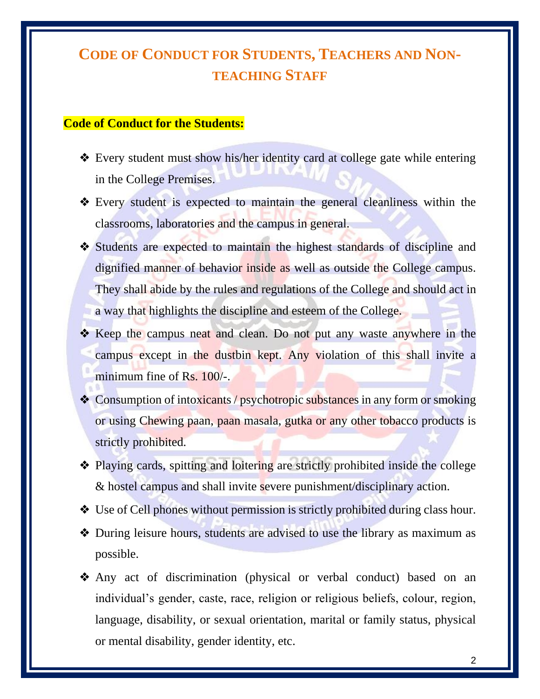# **CODE OF CONDUCT FOR STUDENTS, TEACHERS AND NON-TEACHING STAFF**

## **Code of Conduct for the Students:**

- ❖ Every student must show his/her identity card at college gate while entering in the College Premises.
- ❖ Every student is expected to maintain the general cleanliness within the classrooms, laboratories and the campus in general.
- ❖ Students are expected to maintain the highest standards of discipline and dignified manner of behavior inside as well as outside the College campus. They shall abide by the rules and regulations of the College and should act in a way that highlights the discipline and esteem of the College.
- ❖ Keep the campus neat and clean. Do not put any waste anywhere in the campus except in the dustbin kept. Any violation of this shall invite a minimum fine of Rs. 100/-.
- ❖ Consumption of intoxicants / psychotropic substances in any form or smoking or using Chewing paan, paan masala, gutka or any other tobacco products is strictly prohibited.
- ❖ Playing cards, spitting and loitering are strictly prohibited inside the college & hostel campus and shall invite severe punishment/disciplinary action.
- ❖ Use of Cell phones without permission is strictly prohibited during class hour.
- ❖ During leisure hours, students are advised to use the library as maximum as possible.
- ❖ Any act of discrimination (physical or verbal conduct) based on an individual's gender, caste, race, religion or religious beliefs, colour, region, language, disability, or sexual orientation, marital or family status, physical or mental disability, gender identity, etc.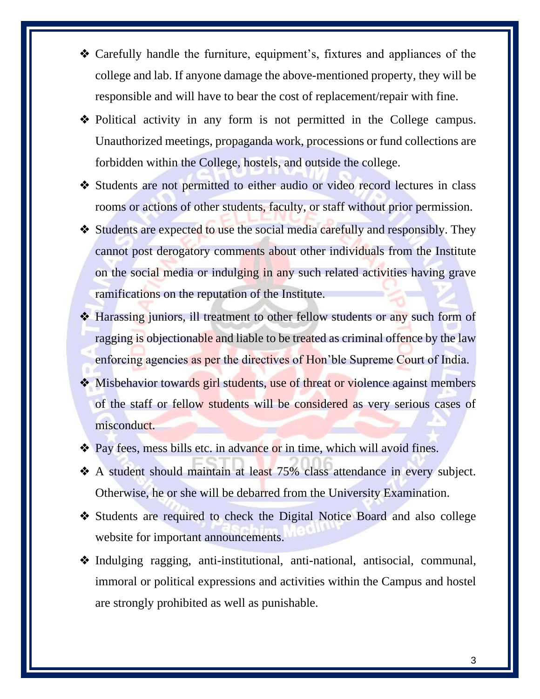- ❖ Carefully handle the furniture, equipment's, fixtures and appliances of the college and lab. If anyone damage the above-mentioned property, they will be responsible and will have to bear the cost of replacement/repair with fine.
- ❖ Political activity in any form is not permitted in the College campus. Unauthorized meetings, propaganda work, processions or fund collections are forbidden within the College, hostels, and outside the college.
- ❖ Students are not permitted to either audio or video record lectures in class rooms or actions of other students, faculty, or staff without prior permission.
- ❖ Students are expected to use the social media carefully and responsibly. They cannot post derogatory comments about other individuals from the Institute on the social media or indulging in any such related activities having grave ramifications on the reputation of the Institute.
- ❖ Harassing juniors, ill treatment to other fellow students or any such form of ragging is objectionable and liable to be treated as criminal offence by the law enforcing agencies as per the directives of Hon'ble Supreme Court of India.
- ❖ Misbehavior towards girl students, use of threat or violence against members of the staff or fellow students will be considered as very serious cases of misconduct.
- ❖ Pay fees, mess bills etc. in advance or in time, which will avoid fines.
- ❖ A student should maintain at least 75% class attendance in every subject. Otherwise, he or she will be debarred from the University Examination.
- ❖ Students are required to check the Digital Notice Board and also college website for important announcements.
- ❖ Indulging ragging, anti-institutional, anti-national, antisocial, communal, immoral or political expressions and activities within the Campus and hostel are strongly prohibited as well as punishable.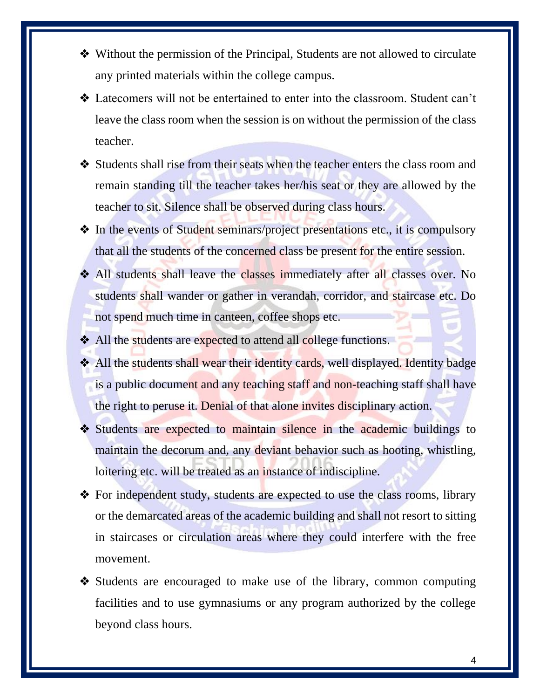- ❖ Without the permission of the Principal, Students are not allowed to circulate any printed materials within the college campus.
- ❖ Latecomers will not be entertained to enter into the classroom. Student can't leave the class room when the session is on without the permission of the class teacher.
- ❖ Students shall rise from their seats when the teacher enters the class room and remain standing till the teacher takes her/his seat or they are allowed by the teacher to sit. Silence shall be observed during class hours.
- ❖ In the events of Student seminars/project presentations etc., it is compulsory that all the students of the concerned class be present for the entire session.
- ❖ All students shall leave the classes immediately after all classes over. No students shall wander or gather in verandah, corridor, and staircase etc. Do not spend much time in canteen, coffee shops etc.
- ❖ All the students are expected to attend all college functions.
- ❖ All the students shall wear their identity cards, well displayed. Identity badge is a public document and any teaching staff and non-teaching staff shall have the right to peruse it. Denial of that alone invites disciplinary action.
- ❖ Students are expected to maintain silence in the academic buildings to maintain the decorum and, any deviant behavior such as hooting, whistling, loitering etc. will be treated as an instance of indiscipline.
- ❖ For independent study, students are expected to use the class rooms, library or the demarcated areas of the academic building and shall not resort to sitting in staircases or circulation areas where they could interfere with the free movement.
- ❖ Students are encouraged to make use of the library, common computing facilities and to use gymnasiums or any program authorized by the college beyond class hours.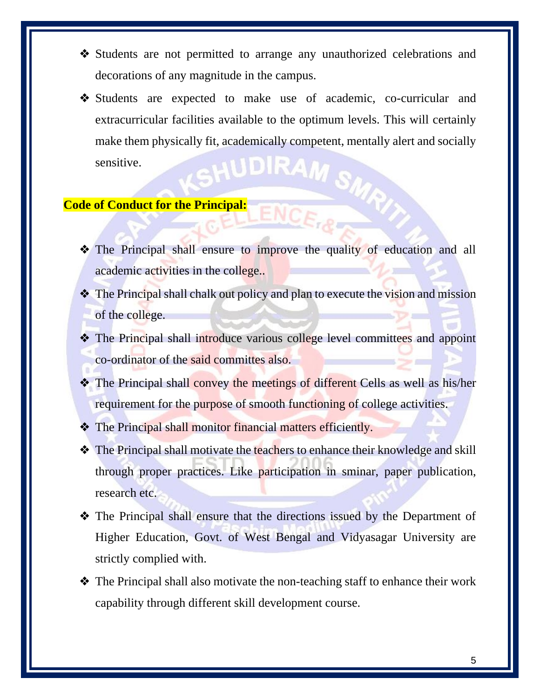- ❖ Students are not permitted to arrange any unauthorized celebrations and decorations of any magnitude in the campus.
- ❖ Students are expected to make use of academic, co-curricular and extracurricular facilities available to the optimum levels. This will certainly make them physically fit, academically competent, mentally alert and socially sensitive. sensitive.

## **Code of Conduct for the Principal:**

- ❖ The Principal shall ensure to improve the quality of education and all academic activities in the college..
- ❖ The Principal shall chalk out policy and plan to execute the vision and mission of the college.
- ❖ The Principal shall introduce various college level committees and appoint co-ordinator of the said committes also.
- ❖ The Principal shall convey the meetings of different Cells as well as his/her requirement for the purpose of smooth functioning of college activities.
- ❖ The Principal shall monitor financial matters efficiently.
- ❖ The Principal shall motivate the teachers to enhance their knowledge and skill through proper practices. Like participation in sminar, paper publication, research etc.
- ❖ The Principal shall ensure that the directions issued by the Department of Higher Education, Govt. of West Bengal and Vidyasagar University are strictly complied with.
- ❖ The Principal shall also motivate the non-teaching staff to enhance their work capability through different skill development course.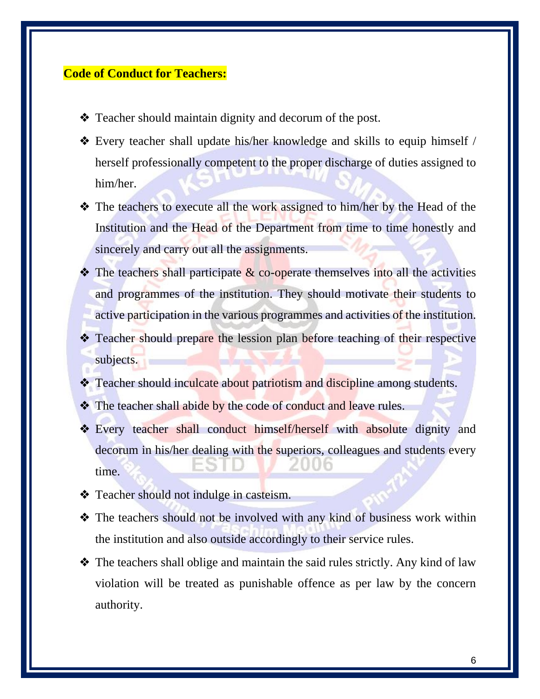#### **Code of Conduct for Teachers:**

- ❖ Teacher should maintain dignity and decorum of the post.
- ❖ Every teacher shall update his/her knowledge and skills to equip himself / herself professionally competent to the proper discharge of duties assigned to him/her.
- ❖ The teachers to execute all the work assigned to him/her by the Head of the Institution and the Head of the Department from time to time honestly and sincerely and carry out all the assignments.
- $\triangle$  The teachers shall participate  $\&$  co-operate themselves into all the activities and programmes of the institution. They should motivate their students to active participation in the various programmes and activities of the institution.
- ❖ Teacher should prepare the lession plan before teaching of their respective subjects.
- **❖** Teacher should inculcate about patriotism and discipline among students.
- ❖ The teacher shall abide by the code of conduct and leave rules.
- ❖ Every teacher shall conduct himself/herself with absolute dignity and decorum in his/her dealing with the superiors, colleagues and students every time.
- ❖ Teacher should not indulge in casteism.
- ❖ The teachers should not be involved with any kind of business work within the institution and also outside accordingly to their service rules.
- ❖ The teachers shall oblige and maintain the said rules strictly. Any kind of law violation will be treated as punishable offence as per law by the concern authority.